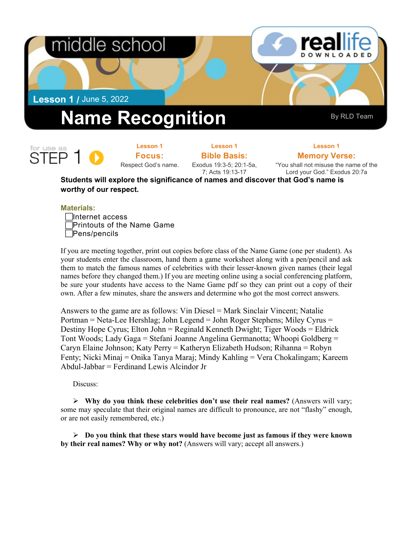## middle school

**Lesson 1 /** June 5, 2022

# **Name Recognition** By RLD Team

for use as

**Lesson 1 Focus:**  Respect God's name.

**Lesson 1 Bible Basis:**

Exodus 19:3-5; 20:1-5a, 7; Acts 19:13-17

**Memory Verse:** "You shall not misuse the name of the Lord your God." Exodus 20:7a

**Lesson 1**

**Students will explore the significance of names and discover that God's name is worthy of our respect.**

#### **Materials:**



If you are meeting together, print out copies before class of the Name Game (one per student). As your students enter the classroom, hand them a game worksheet along with a pen/pencil and ask them to match the famous names of celebrities with their lesser-known given names (their legal names before they changed them.) If you are meeting online using a social conferencing platform, be sure your students have access to the Name Game pdf so they can print out a copy of their own. After a few minutes, share the answers and determine who got the most correct answers.

Answers to the game are as follows: Vin Diesel = Mark Sinclair Vincent; Natalie Portman = Neta-Lee Hershlag; John Legend = John Roger Stephens; Miley Cyrus = Destiny Hope Cyrus; Elton John = Reginald Kenneth Dwight; Tiger Woods = Eldrick Tont Woods; Lady Gaga = Stefani Joanne Angelina Germanotta; Whoopi Goldberg = Caryn Elaine Johnson; Katy Perry = Katheryn Elizabeth Hudson; Rihanna = Robyn Fenty; Nicki Minaj = Onika Tanya Maraj; Mindy Kahling = Vera Chokalingam; Kareem Abdul-Jabbar = Ferdinand Lewis Alcindor Jr

Discuss:

**Why do you think these celebrities don't use their real names?** (Answers will vary; some may speculate that their original names are difficult to pronounce, are not "flashy" enough, or are not easily remembered, etc.)

 **Do you think that these stars would have become just as famous if they were known by their real names? Why or why not?** (Answers will vary; accept all answers.)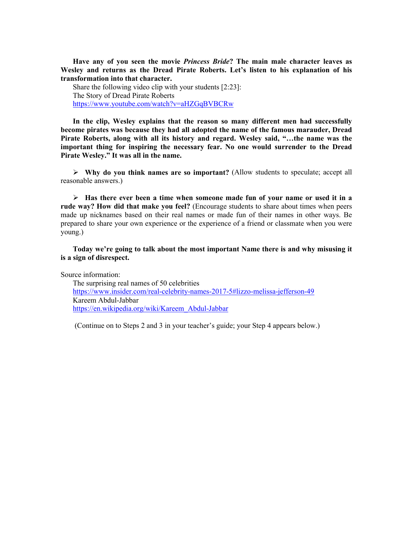**Have any of you seen the movie** *Princess Bride***? The main male character leaves as Wesley and returns as the Dread Pirate Roberts. Let's listen to his explanation of his transformation into that character.**

Share the following video clip with your students [2:23]: The Story of Dread Pirate Roberts <https://www.youtube.com/watch?v=aHZGqBVBCRw>

**In the clip, Wesley explains that the reason so many different men had successfully become pirates was because they had all adopted the name of the famous marauder, Dread Pirate Roberts, along with all its history and regard. Wesley said, "…the name was the important thing for inspiring the necessary fear. No one would surrender to the Dread Pirate Wesley." It was all in the name.**

 **Why do you think names are so important?** (Allow students to speculate; accept all reasonable answers.)

 **Has there ever been a time when someone made fun of your name or used it in a rude way? How did that make you feel?** (Encourage students to share about times when peers made up nicknames based on their real names or made fun of their names in other ways. Be prepared to share your own experience or the experience of a friend or classmate when you were young.)

**Today we're going to talk about the most important Name there is and why misusing it is a sign of disrespect.**

Source information:

The surprising real names of 50 celebrities https://www.insider.com/real-celebrity-names-2017-5#lizzo-melissa-jefferson-49 Kareem Abdul-Jabbar [https://en.wikipedia.org/wiki/Kareem\\_Abdul-Jabbar](https://en.wikipedia.org/wiki/Kareem_Abdul-Jabbar)

(Continue on to Steps 2 and 3 in your teacher's guide; your Step 4 appears below.)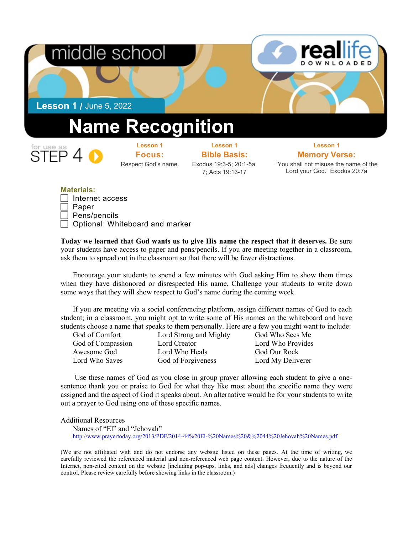

#### **Materials:**

| $\Box$ Internet access                 |
|----------------------------------------|
| $\Box$ Paper                           |
| $\Box$ Pens/pencils                    |
| $\Box$ Optional: Whiteboard and marker |
|                                        |

**Today we learned that God wants us to give His name the respect that it deserves.** Be sure your students have access to paper and pens/pencils. If you are meeting together in a classroom, ask them to spread out in the classroom so that there will be fewer distractions.

Encourage your students to spend a few minutes with God asking Him to show them times when they have dishonored or disrespected His name. Challenge your students to write down some ways that they will show respect to God's name during the coming week.

If you are meeting via a social conferencing platform, assign different names of God to each student; in a classroom, you might opt to write some of His names on the whiteboard and have students choose a name that speaks to them personally. Here are a few you might want to include:

God of Compassion Lord Creator Lord Who Provides Awesome God Lord Who Heals God Our Rock Lord Who Saves God of Forgiveness Lord My Deliverer

God of Comfort Lord Strong and Mighty God Who Sees Me

 Use these names of God as you close in group prayer allowing each student to give a onesentence thank you or praise to God for what they like most about the specific name they were assigned and the aspect of God it speaks about. An alternative would be for your students to write out a prayer to God using one of these specific names.

#### Additional Resources

Names of "El" and "Jehovah" [http://www.prayertoday.org/2013/PDF/2014-44%20El-%20Names%20&%2044%20Jehovah%20Names.pdf](http://www.prayertoday.org/2013/PDF/2014-44 El- Names & 44 Jehovah Names.pdf)

(We are not affiliated with and do not endorse any website listed on these pages. At the time of writing, we carefully reviewed the referenced material and non-referenced web page content. However, due to the nature of the Internet, non-cited content on the website [including pop-ups, links, and ads] changes frequently and is beyond our control. Please review carefully before showing links in the classroom.)